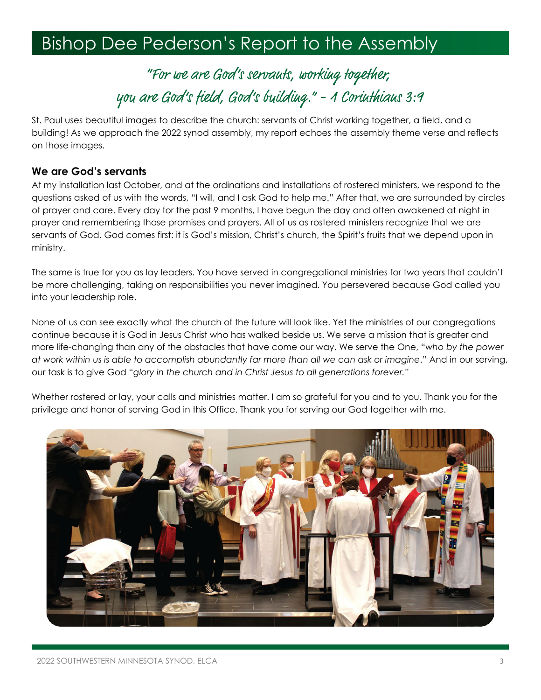# **Bishop Dee Pederson's Report to the Assembly**

"For we are God's servauts, working together, you are God's field, God's building." - 1 Corinthians 3:9

St. Paul uses beautiful images to describe the church: servants of Christ working together, a field, and a building! As we approach the 2022 synod assembly, my report echoes the assembly theme verse and reflects on those images.

#### **We are God's servants**

At my installation last October, and at the ordinations and installations of rostered ministers, we respond to the questions asked of us with the words, "I will, and I ask God to help me." After that, we are surrounded by circles of prayer and care. Every day for the past 9 months, I have begun the day and often awakened at night in prayer and remembering those promises and prayers. All of us as rostered ministers recognize that we are servants of God. God comes first: it is God's mission, Christ's church, the Spirit's fruits that we depend upon in ministry.

The same is true for you as lay leaders. You have served in congregational ministries for two years that couldn't be more challenging, taking on responsibilities you never imagined. You persevered because God called you into your leadership role.

None of us can see exactly what the church of the future will look like. Yet the ministries of our congregations continue because it is God in Jesus Christ who has walked beside us. We serve a mission that is greater and more life-changing than any of the obstacles that have come our way. We serve the One, "*who by the power at work within us is able to accomplish abundantly far more than all we can ask or imagine*." And in our serving, our task is to give God "*glory in the church and in Christ Jesus to all generations forever."*

Whether rostered or lay, your calls and ministries matter. I am so grateful for you and to you. Thank you for the privilege and honor of serving God in this Office. Thank you for serving our God together with me.

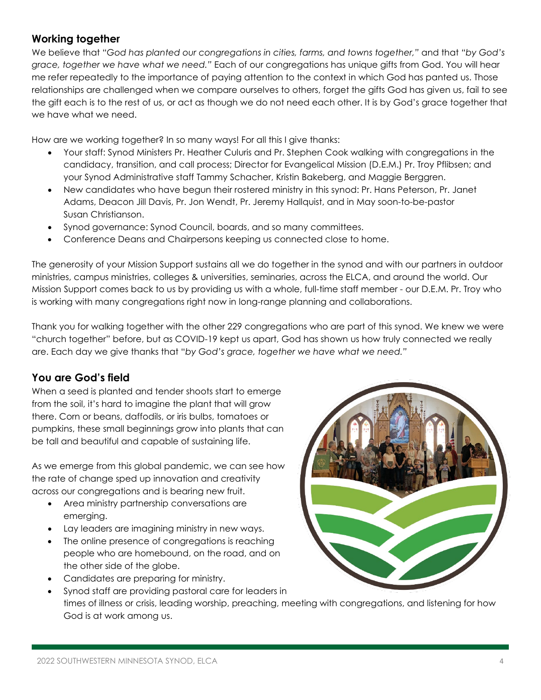# **Working together**

We believe that "*God has planted our congregations in cities, farms, and towns together,"* and that *"by God's grace, together we have what we need."* Each of our congregations has unique gifts from God. You will hear me refer repeatedly to the importance of paying attention to the context in which God has panted us. Those relationships are challenged when we compare ourselves to others, forget the gifts God has given us, fail to see the gift each is to the rest of us, or act as though we do not need each other. It is by God's grace together that we have what we need.

How are we working together? In so many ways! For all this I give thanks:

- Your staff: Synod Ministers Pr. Heather Culuris and Pr. Stephen Cook walking with congregations in the candidacy, transition, and call process; Director for Evangelical Mission (D.E.M.) Pr. Troy Pflibsen; and your Synod Administrative staff Tammy Schacher, Kristin Bakeberg, and Maggie Berggren.
- New candidates who have begun their rostered ministry in this synod: Pr. Hans Peterson, Pr. Janet Adams, Deacon Jill Davis, Pr. Jon Wendt, Pr. Jeremy Hallquist, and in May soon-to-be-pastor Susan Christianson.
- Synod governance: Synod Council, boards, and so many committees.
- Conference Deans and Chairpersons keeping us connected close to home.

The generosity of your Mission Support sustains all we do together in the synod and with our partners in outdoor ministries, campus ministries, colleges & universities, seminaries, across the ELCA, and around the world. Our Mission Support comes back to us by providing us with a whole, full-time staff member - our D.E.M. Pr. Troy who is working with many congregations right now in long-range planning and collaborations.

Thank you for walking together with the other 229 congregations who are part of this synod. We knew we were "church together" before, but as COVID-19 kept us apart, God has shown us how truly connected we really are. Each day we give thanks that "*by God's grace, together we have what we need."*

# **You are God's field**

When a seed is planted and tender shoots start to emerge from the soil, it's hard to imagine the plant that will grow there. Corn or beans, daffodils, or iris bulbs, tomatoes or pumpkins, these small beginnings grow into plants that can be tall and beautiful and capable of sustaining life.

As we emerge from this global pandemic, we can see how the rate of change sped up innovation and creativity across our congregations and is bearing new fruit.

- Area ministry partnership conversations are emerging.
- Lay leaders are imagining ministry in new ways.
- The online presence of congregations is reaching people who are homebound, on the road, and on the other side of the globe.
- Candidates are preparing for ministry.
- 
- Synod staff are providing pastoral care for leaders in times of illness or crisis, leading worship, preaching, meeting with congregations, and listening for how God is at work among us.